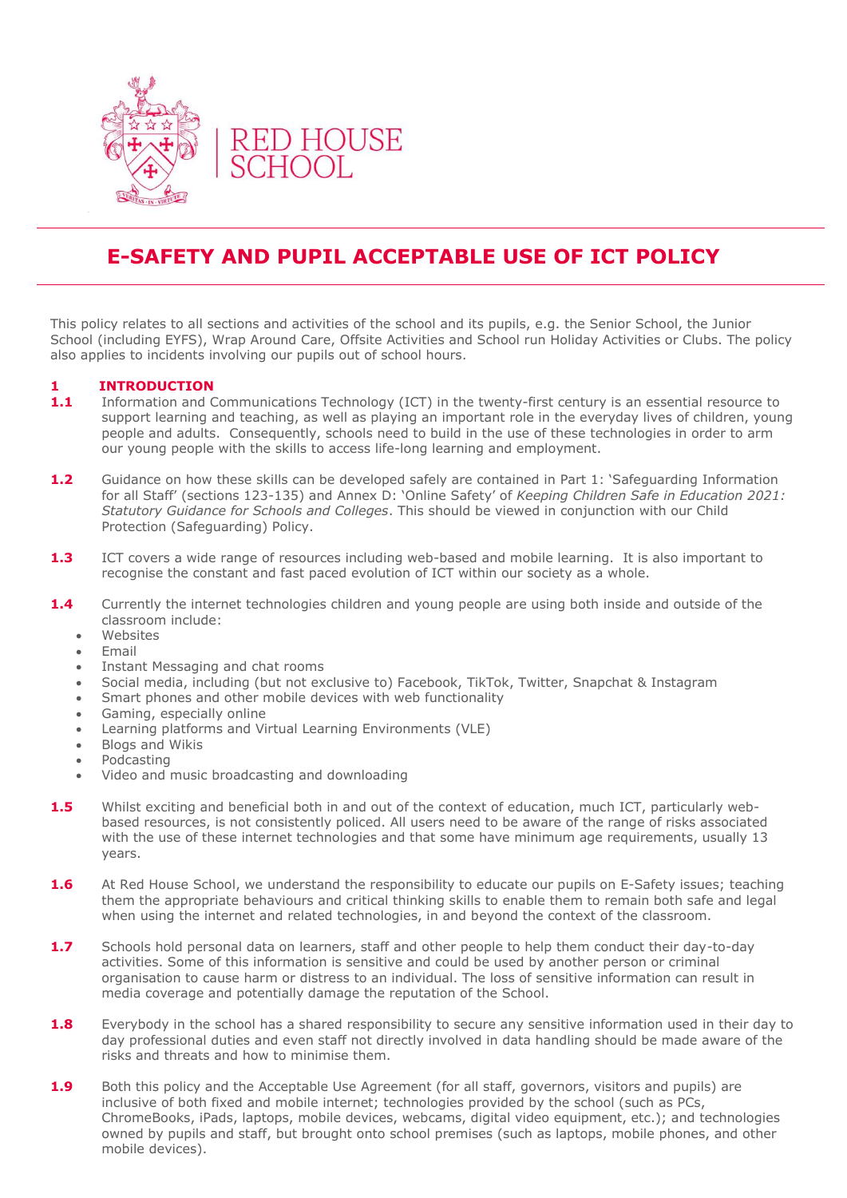

# **E-SAFETY AND PUPIL ACCEPTABLE USE OF ICT POLICY**

This policy relates to all sections and activities of the school and its pupils, e.g. the Senior School, the Junior School (including EYFS), Wrap Around Care, Offsite Activities and School run Holiday Activities or Clubs. The policy also applies to incidents involving our pupils out of school hours.

# **1 INTRODUCTION**

- 1.1 Information and Communications Technology (ICT) in the twenty-first century is an essential resource to support learning and teaching, as well as playing an important role in the everyday lives of children, young people and adults. Consequently, schools need to build in the use of these technologies in order to arm our young people with the skills to access life-long learning and employment.
- **1.2** Guidance on how these skills can be developed safely are contained in Part 1: 'Safeguarding Information for all Staff' (sections 123-135) and Annex D: 'Online Safety' of *Keeping Children Safe in Education 2021: Statutory Guidance for Schools and Colleges*. This should be viewed in conjunction with our Child Protection (Safeguarding) Policy.
- **1.3** ICT covers a wide range of resources including web-based and mobile learning. It is also important to recognise the constant and fast paced evolution of ICT within our society as a whole.
- **1.4** Currently the internet technologies children and young people are using both inside and outside of the classroom include:
	- Websites
	- Email
	- Instant Messaging and chat rooms
	- Social media, including (but not exclusive to) Facebook, TikTok, Twitter, Snapchat & Instagram
	- Smart phones and other mobile devices with web functionality
	- Gaming, especially online
	- Learning platforms and Virtual Learning Environments (VLE)
	- Blogs and Wikis
	- Podcasting
	- Video and music broadcasting and downloading
- **1.5** Whilst exciting and beneficial both in and out of the context of education, much ICT, particularly webbased resources, is not consistently policed. All users need to be aware of the range of risks associated with the use of these internet technologies and that some have minimum age requirements, usually 13 years.
- **1.6** At Red House School, we understand the responsibility to educate our pupils on E-Safety issues; teaching them the appropriate behaviours and critical thinking skills to enable them to remain both safe and legal when using the internet and related technologies, in and beyond the context of the classroom.
- **1.7** Schools hold personal data on learners, staff and other people to help them conduct their day-to-day activities. Some of this information is sensitive and could be used by another person or criminal organisation to cause harm or distress to an individual. The loss of sensitive information can result in media coverage and potentially damage the reputation of the School.
- 1.8 Everybody in the school has a shared responsibility to secure any sensitive information used in their day to day professional duties and even staff not directly involved in data handling should be made aware of the risks and threats and how to minimise them.
- **1.9** Both this policy and the Acceptable Use Agreement (for all staff, governors, visitors and pupils) are inclusive of both fixed and mobile internet; technologies provided by the school (such as PCs, ChromeBooks, iPads, laptops, mobile devices, webcams, digital video equipment, etc.); and technologies owned by pupils and staff, but brought onto school premises (such as laptops, mobile phones, and other mobile devices).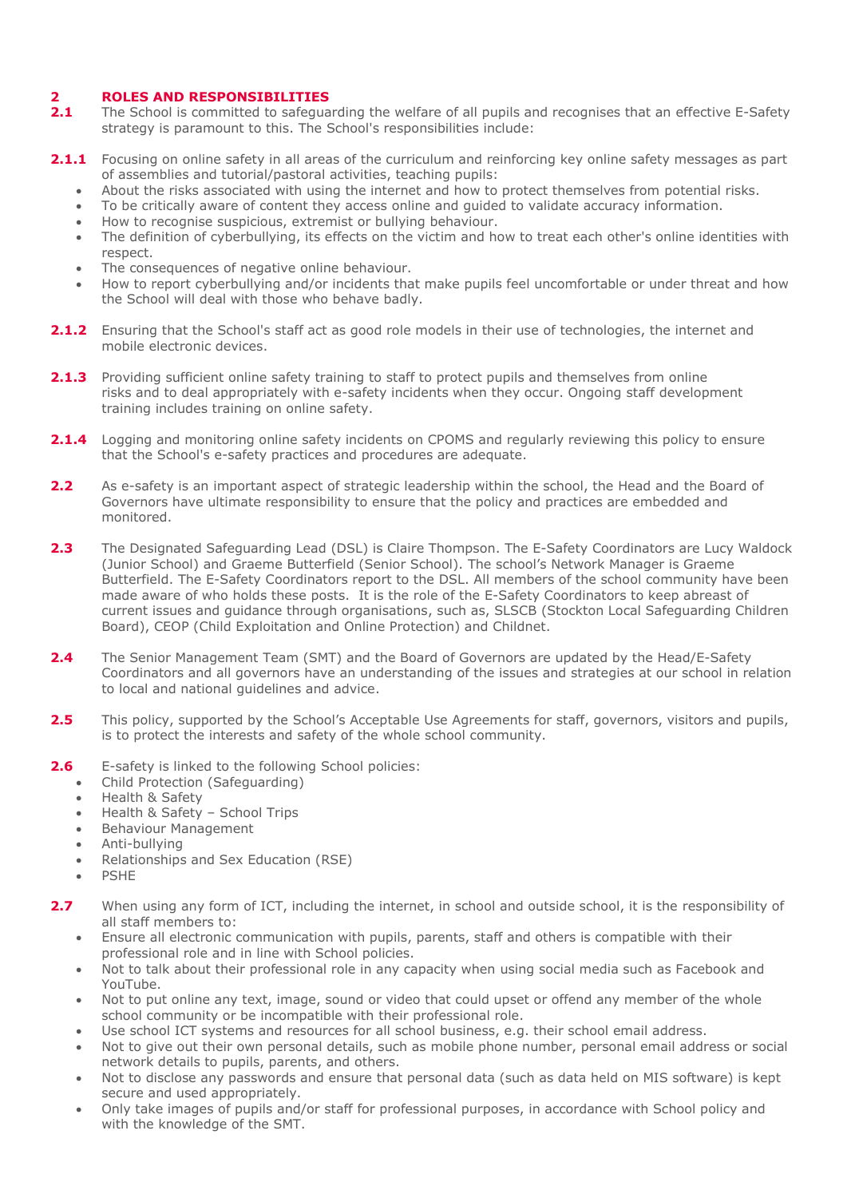## **2 ROLES AND RESPONSIBILITIES**

- **2.1** The School is committed to safeguarding the welfare of all pupils and recognises that an effective E-Safety strategy is paramount to this. The School's responsibilities include:
- **2.1.1** Focusing on online safety in all areas of the curriculum and reinforcing key online safety messages as part of assemblies and tutorial/pastoral activities, teaching pupils:
	- About the risks associated with using the internet and how to protect themselves from potential risks.
	- To be critically aware of content they access online and guided to validate accuracy information.
	- How to recognise suspicious, extremist or bullying behaviour.
	- The definition of cyberbullying, its effects on the victim and how to treat each other's online identities with respect.
	- The consequences of negative online behaviour.
	- How to report cyberbullying and/or incidents that make pupils feel uncomfortable or under threat and how the School will deal with those who behave badly.
- 2.1.2 Ensuring that the School's staff act as good role models in their use of technologies, the internet and mobile electronic devices.
- **2.1.3** Providing sufficient online safety training to staff to protect pupils and themselves from online risks and to deal appropriately with e-safety incidents when they occur. Ongoing staff development training includes training on online safety.
- **2.1.4** Logging and monitoring online safety incidents on CPOMS and regularly reviewing this policy to ensure that the School's e-safety practices and procedures are adequate.
- **2.2** As e-safety is an important aspect of strategic leadership within the school, the Head and the Board of Governors have ultimate responsibility to ensure that the policy and practices are embedded and monitored.
- 2.3 The Designated Safeguarding Lead (DSL) is Claire Thompson. The E-Safety Coordinators are Lucy Waldock (Junior School) and Graeme Butterfield (Senior School). The school's Network Manager is Graeme Butterfield. The E-Safety Coordinators report to the DSL. All members of the school community have been made aware of who holds these posts. It is the role of the E-Safety Coordinators to keep abreast of current issues and guidance through organisations, such as, SLSCB (Stockton Local Safeguarding Children Board), CEOP (Child Exploitation and Online Protection) and Childnet.
- **2.4** The Senior Management Team (SMT) and the Board of Governors are updated by the Head/E-Safety Coordinators and all governors have an understanding of the issues and strategies at our school in relation to local and national guidelines and advice.
- **2.5** This policy, supported by the School's Acceptable Use Agreements for staff, governors, visitors and pupils, is to protect the interests and safety of the whole school community.
- **2.6** E-safety is linked to the following School policies:
	- Child Protection (Safeguarding)
	- Health & Safety
	- Health & Safety School Trips
	- Behaviour Management
	- Anti-bullying
	- Relationships and Sex Education (RSE)
	- PSHE
- **2.7** When using any form of ICT, including the internet, in school and outside school, it is the responsibility of all staff members to:
	- Ensure all electronic communication with pupils, parents, staff and others is compatible with their professional role and in line with School policies.
	- Not to talk about their professional role in any capacity when using social media such as Facebook and YouTube.
	- Not to put online any text, image, sound or video that could upset or offend any member of the whole school community or be incompatible with their professional role.
	- Use school ICT systems and resources for all school business, e.g. their school email address.
	- Not to give out their own personal details, such as mobile phone number, personal email address or social network details to pupils, parents, and others.
	- Not to disclose any passwords and ensure that personal data (such as data held on MIS software) is kept secure and used appropriately.
	- Only take images of pupils and/or staff for professional purposes, in accordance with School policy and with the knowledge of the SMT.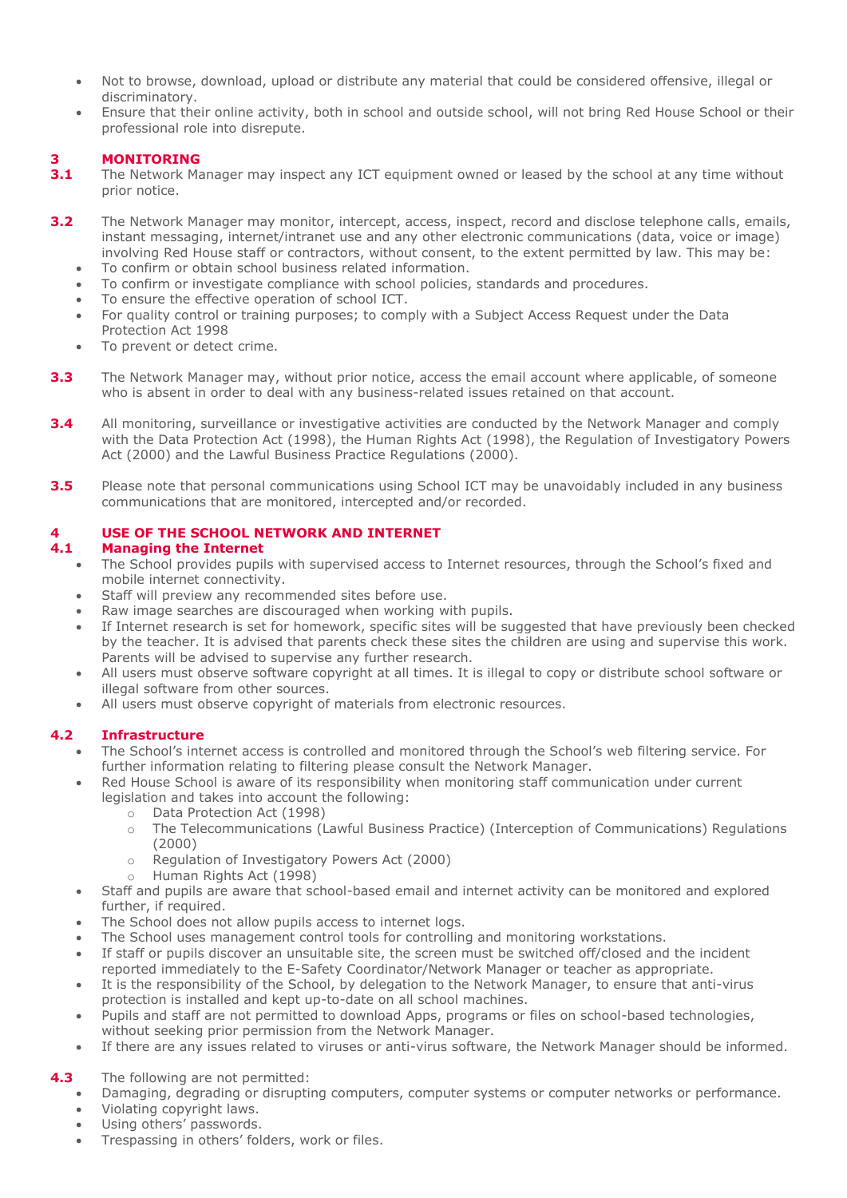- Not to browse, download, upload or distribute any material that could be considered offensive, illegal or discriminatory.
- Ensure that their online activity, both in school and outside school, will not bring Red House School or their professional role into disrepute.

# **3 MONITORING**

- **3.1** The Network Manager may inspect any ICT equipment owned or leased by the school at any time without prior notice.
- **3.2** The Network Manager may monitor, intercept, access, inspect, record and disclose telephone calls, emails, instant messaging, internet/intranet use and any other electronic communications (data, voice or image) involving Red House staff or contractors, without consent, to the extent permitted by law. This may be:
	- To confirm or obtain school business related information.
	- To confirm or investigate compliance with school policies, standards and procedures.
	- To ensure the effective operation of school ICT.
	- For quality control or training purposes; to comply with a Subject Access Request under the Data Protection Act 1998
	- To prevent or detect crime.
- **3.3** The Network Manager may, without prior notice, access the email account where applicable, of someone who is absent in order to deal with any business-related issues retained on that account.
- **3.4** All monitoring, surveillance or investigative activities are conducted by the Network Manager and comply with the Data Protection Act (1998), the Human Rights Act (1998), the Regulation of Investigatory Powers Act (2000) and the Lawful Business Practice Regulations (2000).
- **3.5** Please note that personal communications using School ICT may be unavoidably included in any business communications that are monitored, intercepted and/or recorded.

# **4 USE OF THE SCHOOL NETWORK AND INTERNET**

#### **4.1 Managing the Internet**

- The School provides pupils with supervised access to Internet resources, through the School's fixed and mobile internet connectivity.
- Staff will preview any recommended sites before use.
- Raw image searches are discouraged when working with pupils.
- If Internet research is set for homework, specific sites will be suggested that have previously been checked by the teacher. It is advised that parents check these sites the children are using and supervise this work. Parents will be advised to supervise any further research.
- All users must observe software copyright at all times. It is illegal to copy or distribute school software or illegal software from other sources.
- All users must observe copyright of materials from electronic resources.

# **4.2 Infrastructure**

- The School's internet access is controlled and monitored through the School's web filtering service. For further information relating to filtering please consult the Network Manager.
- Red House School is aware of its responsibility when monitoring staff communication under current legislation and takes into account the following:
	- o Data Protection Act (1998)
	- o The Telecommunications (Lawful Business Practice) (Interception of Communications) Regulations (2000)
	- o Regulation of Investigatory Powers Act (2000)
	- o Human Rights Act (1998)
- Staff and pupils are aware that school-based email and internet activity can be monitored and explored further, if required.
- The School does not allow pupils access to internet logs.
- The School uses management control tools for controlling and monitoring workstations.
- If staff or pupils discover an unsuitable site, the screen must be switched off/closed and the incident reported immediately to the E-Safety Coordinator/Network Manager or teacher as appropriate.
- It is the responsibility of the School, by delegation to the Network Manager, to ensure that anti-virus protection is installed and kept up-to-date on all school machines.
- Pupils and staff are not permitted to download Apps, programs or files on school-based technologies, without seeking prior permission from the Network Manager.
- If there are any issues related to viruses or anti-virus software, the Network Manager should be informed.

# **4.3** The following are not permitted:

- Damaging, degrading or disrupting computers, computer systems or computer networks or performance.
- Violating copyright laws.
- Using others' passwords.
- Trespassing in others' folders, work or files.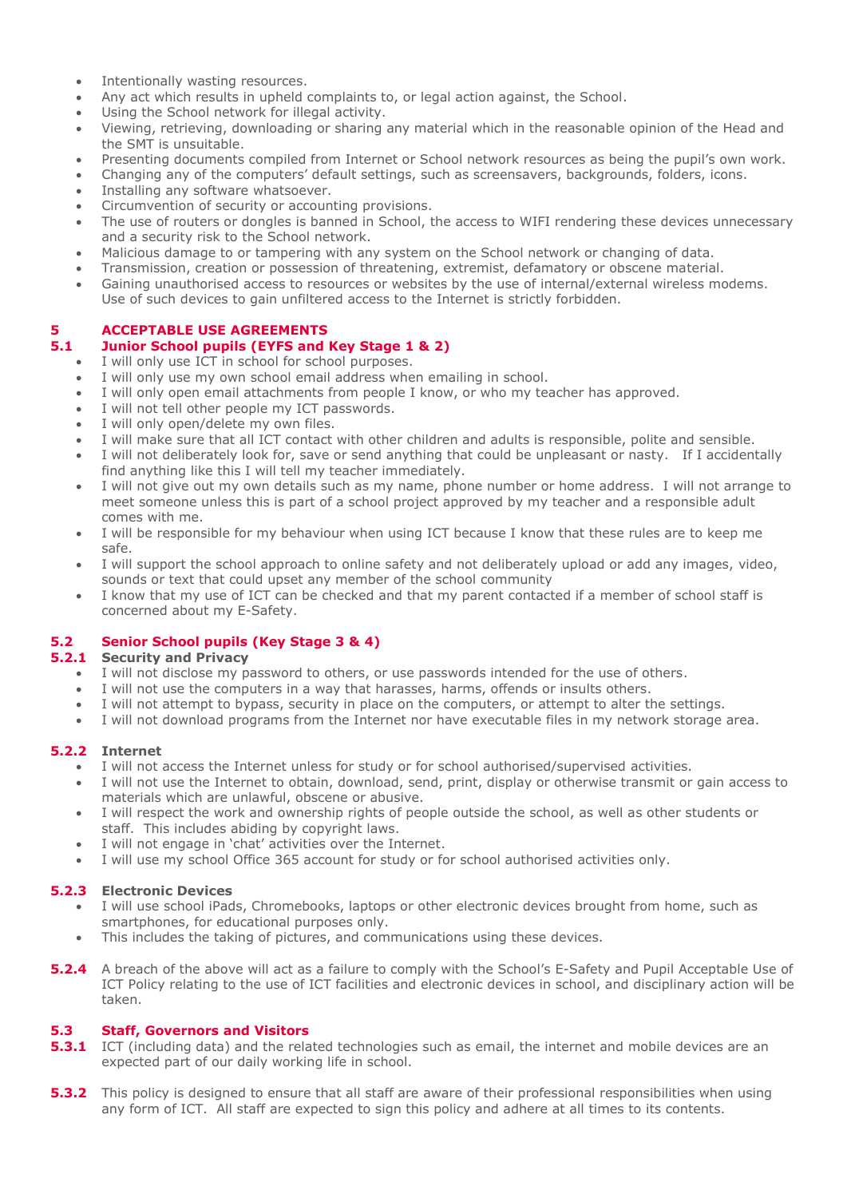- Intentionally wasting resources.
- Any act which results in upheld complaints to, or legal action against, the School.
- Using the School network for illegal activity.
- Viewing, retrieving, downloading or sharing any material which in the reasonable opinion of the Head and the SMT is unsuitable.
- Presenting documents compiled from Internet or School network resources as being the pupil's own work.
- Changing any of the computers' default settings, such as screensavers, backgrounds, folders, icons.
- Installing any software whatsoever.
- Circumvention of security or accounting provisions.
- The use of routers or dongles is banned in School, the access to WIFI rendering these devices unnecessary and a security risk to the School network.
- Malicious damage to or tampering with any system on the School network or changing of data.
- Transmission, creation or possession of threatening, extremist, defamatory or obscene material.
- Gaining unauthorised access to resources or websites by the use of internal/external wireless modems. Use of such devices to gain unfiltered access to the Internet is strictly forbidden.

# **5 ACCEPTABLE USE AGREEMENTS**

# **5.1 Junior School pupils (EYFS and Key Stage 1 & 2)**

- I will only use ICT in school for school purposes.
- I will only use my own school email address when emailing in school.
- I will only open email attachments from people I know, or who my teacher has approved.
- I will not tell other people my ICT passwords.
- I will only open/delete my own files.
- I will make sure that all ICT contact with other children and adults is responsible, polite and sensible.
- I will not deliberately look for, save or send anything that could be unpleasant or nasty. If I accidentally find anything like this I will tell my teacher immediately.
- I will not give out my own details such as my name, phone number or home address. I will not arrange to meet someone unless this is part of a school project approved by my teacher and a responsible adult comes with me.
- I will be responsible for my behaviour when using ICT because I know that these rules are to keep me safe.
- I will support the school approach to online safety and not deliberately upload or add any images, video, sounds or text that could upset any member of the school community
- I know that my use of ICT can be checked and that my parent contacted if a member of school staff is concerned about my E-Safety.

# **5.2 Senior School pupils (Key Stage 3 & 4)**

#### **5.2.1 Security and Privacy**

- I will not disclose my password to others, or use passwords intended for the use of others.
- I will not use the computers in a way that harasses, harms, offends or insults others.
- I will not attempt to bypass, security in place on the computers, or attempt to alter the settings.
- I will not download programs from the Internet nor have executable files in my network storage area.

#### **5.2.2 Internet**

- I will not access the Internet unless for study or for school authorised/supervised activities.
- I will not use the Internet to obtain, download, send, print, display or otherwise transmit or gain access to materials which are unlawful, obscene or abusive.
- I will respect the work and ownership rights of people outside the school, as well as other students or staff. This includes abiding by copyright laws.
- I will not engage in 'chat' activities over the Internet.
- I will use my school Office 365 account for study or for school authorised activities only.

# **5.2.3 Electronic Devices**

- I will use school iPads, Chromebooks, laptops or other electronic devices brought from home, such as smartphones, for educational purposes only.
- This includes the taking of pictures, and communications using these devices.
- **5.2.4** A breach of the above will act as a failure to comply with the School's E-Safety and Pupil Acceptable Use of ICT Policy relating to the use of ICT facilities and electronic devices in school, and disciplinary action will be taken.

#### **5.3 Staff, Governors and Visitors**

- **5.3.1** ICT (including data) and the related technologies such as email, the internet and mobile devices are an expected part of our daily working life in school.
- **5.3.2** This policy is designed to ensure that all staff are aware of their professional responsibilities when using any form of ICT. All staff are expected to sign this policy and adhere at all times to its contents.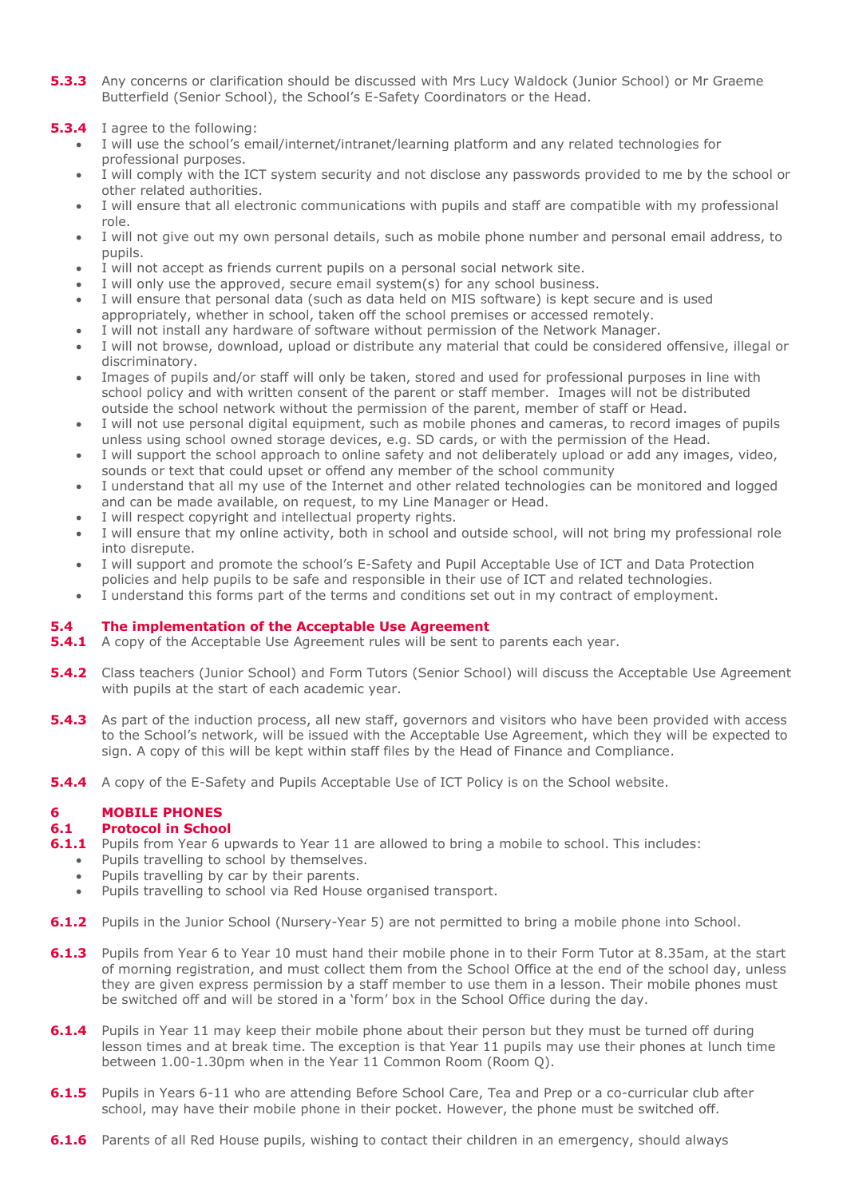- **5.3.3** Any concerns or clarification should be discussed with Mrs Lucy Waldock (Junior School) or Mr Graeme Butterfield (Senior School), the School's E-Safety Coordinators or the Head.
- **5.3.4** I agree to the following:
	- I will use the school's email/internet/intranet/learning platform and any related technologies for professional purposes.
	- I will comply with the ICT system security and not disclose any passwords provided to me by the school or other related authorities.
	- I will ensure that all electronic communications with pupils and staff are compatible with my professional role.
	- I will not give out my own personal details, such as mobile phone number and personal email address, to pupils.
	- I will not accept as friends current pupils on a personal social network site.
	- I will only use the approved, secure email system(s) for any school business.
	- I will ensure that personal data (such as data held on MIS software) is kept secure and is used appropriately, whether in school, taken off the school premises or accessed remotely.
	- I will not install any hardware of software without permission of the Network Manager.
	- I will not browse, download, upload or distribute any material that could be considered offensive, illegal or discriminatory.
	- Images of pupils and/or staff will only be taken, stored and used for professional purposes in line with school policy and with written consent of the parent or staff member. Images will not be distributed outside the school network without the permission of the parent, member of staff or Head.
	- I will not use personal digital equipment, such as mobile phones and cameras, to record images of pupils unless using school owned storage devices, e.g. SD cards, or with the permission of the Head.
	- I will support the school approach to online safety and not deliberately upload or add any images, video, sounds or text that could upset or offend any member of the school community
	- I understand that all my use of the Internet and other related technologies can be monitored and logged and can be made available, on request, to my Line Manager or Head.
	- I will respect copyright and intellectual property rights.
	- I will ensure that my online activity, both in school and outside school, will not bring my professional role into disrepute.
	- I will support and promote the school's E-Safety and Pupil Acceptable Use of ICT and Data Protection policies and help pupils to be safe and responsible in their use of ICT and related technologies.
	- I understand this forms part of the terms and conditions set out in my contract of employment.

#### **5.4 The implementation of the Acceptable Use Agreement**

- **5.4.1** A copy of the Acceptable Use Agreement rules will be sent to parents each year.
- **5.4.2** Class teachers (Junior School) and Form Tutors (Senior School) will discuss the Acceptable Use Agreement with pupils at the start of each academic year.
- **5.4.3** As part of the induction process, all new staff, governors and visitors who have been provided with access to the School's network, will be issued with the Acceptable Use Agreement, which they will be expected to sign. A copy of this will be kept within staff files by the Head of Finance and Compliance.
- **5.4.4** A copy of the E-Safety and Pupils Acceptable Use of ICT Policy is on the School website.

#### **6 MOBILE PHONES**

#### **6.1 Protocol in School**

- **6.1.1** Pupils from Year 6 upwards to Year 11 are allowed to bring a mobile to school. This includes:
	- Pupils travelling to school by themselves.
		- Pupils travelling by car by their parents.
		- Pupils travelling to school via Red House organised transport.
- **6.1.2** Pupils in the Junior School (Nursery-Year 5) are not permitted to bring a mobile phone into School.
- **6.1.3** Pupils from Year 6 to Year 10 must hand their mobile phone in to their Form Tutor at 8.35am, at the start of morning registration, and must collect them from the School Office at the end of the school day, unless they are given express permission by a staff member to use them in a lesson. Their mobile phones must be switched off and will be stored in a 'form' box in the School Office during the day.
- **6.1.4** Pupils in Year 11 may keep their mobile phone about their person but they must be turned off during lesson times and at break time. The exception is that Year 11 pupils may use their phones at lunch time between 1.00-1.30pm when in the Year 11 Common Room (Room Q).
- **6.1.5** Pupils in Years 6-11 who are attending Before School Care, Tea and Prep or a co-curricular club after school, may have their mobile phone in their pocket. However, the phone must be switched off.
- **6.1.6** Parents of all Red House pupils, wishing to contact their children in an emergency, should always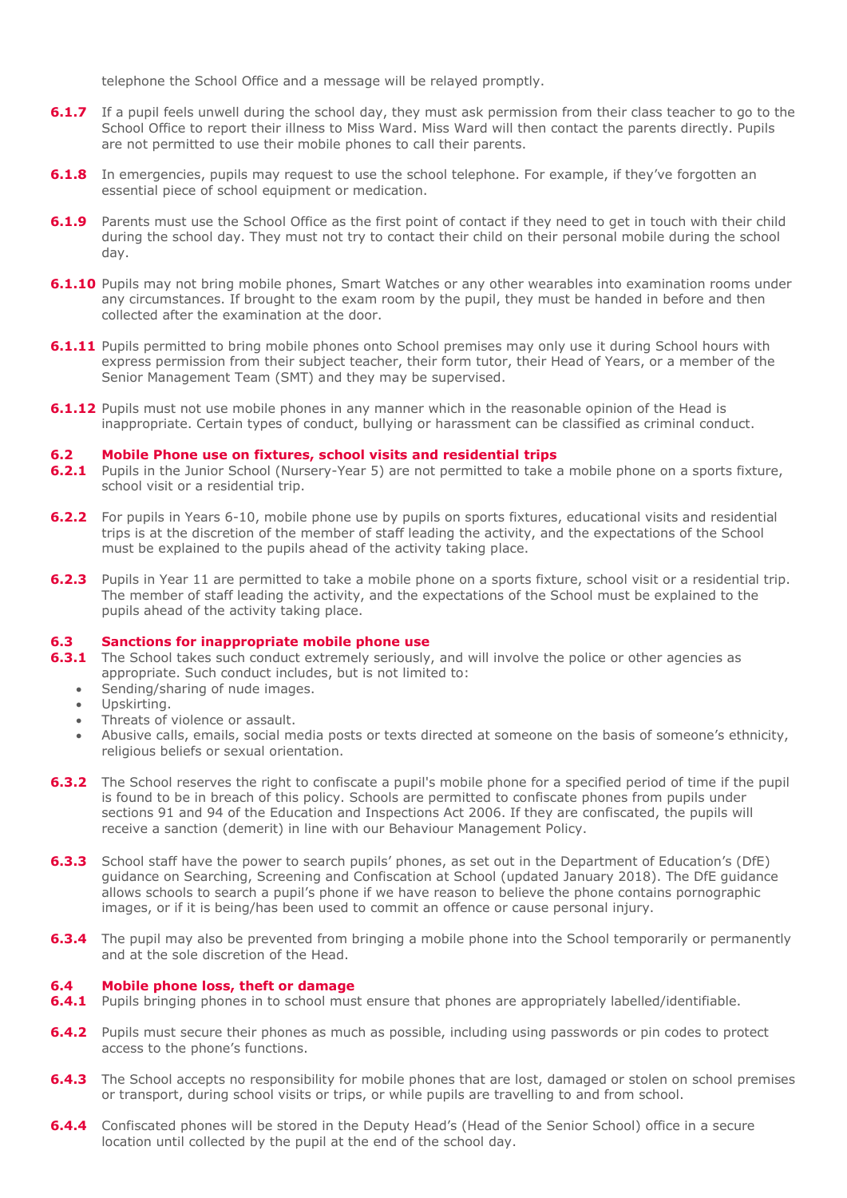telephone the School Office and a message will be relayed promptly.

- **6.1.7** If a pupil feels unwell during the school day, they must ask permission from their class teacher to go to the School Office to report their illness to Miss Ward. Miss Ward will then contact the parents directly. Pupils are not permitted to use their mobile phones to call their parents.
- **6.1.8** In emergencies, pupils may request to use the school telephone. For example, if they've forgotten an essential piece of school equipment or medication.
- **6.1.9** Parents must use the School Office as the first point of contact if they need to get in touch with their child during the school day. They must not try to contact their child on their personal mobile during the school day.
- **6.1.10** Pupils may not bring mobile phones, Smart Watches or any other wearables into examination rooms under any circumstances. If brought to the exam room by the pupil, they must be handed in before and then collected after the examination at the door.
- **6.1.11** Pupils permitted to bring mobile phones onto School premises may only use it during School hours with express permission from their subject teacher, their form tutor, their Head of Years, or a member of the Senior Management Team (SMT) and they may be supervised.
- **6.1.12** Pupils must not use mobile phones in any manner which in the reasonable opinion of the Head is inappropriate. Certain types of conduct, bullying or harassment can be classified as criminal conduct.

#### **6.2 Mobile Phone use on fixtures, school visits and residential trips**

- **6.2.1** Pupils in the Junior School (Nursery-Year 5) are not permitted to take a mobile phone on a sports fixture, school visit or a residential trip.
- **6.2.2** For pupils in Years 6-10, mobile phone use by pupils on sports fixtures, educational visits and residential trips is at the discretion of the member of staff leading the activity, and the expectations of the School must be explained to the pupils ahead of the activity taking place.
- **6.2.3** Pupils in Year 11 are permitted to take a mobile phone on a sports fixture, school visit or a residential trip. The member of staff leading the activity, and the expectations of the School must be explained to the pupils ahead of the activity taking place.

#### **6.3 Sanctions for inappropriate mobile phone use**

- **6.3.1** The School takes such conduct extremely seriously, and will involve the police or other agencies as appropriate. Such conduct includes, but is not limited to:
	- Sending/sharing of nude images.
	- Upskirting.
	- Threats of violence or assault.
	- Abusive calls, emails, social media posts or texts directed at someone on the basis of someone's ethnicity, religious beliefs or sexual orientation.
- **6.3.2** The School reserves the right to confiscate a pupil's mobile phone for a specified period of time if the pupil is found to be in breach of this policy. Schools are permitted to confiscate phones from pupils under sections 91 and 94 of the Education and Inspections Act 2006. If they are confiscated, the pupils will receive a sanction (demerit) in line with our Behaviour Management Policy.
- **6.3.3** School staff have the power to search pupils' phones, as set out in the Department of Education's (DfE) guidance on Searching, Screening and Confiscation at School (updated January 2018). The DfE guidance allows schools to search a pupil's phone if we have reason to believe the phone contains pornographic images, or if it is being/has been used to commit an offence or cause personal injury.
- **6.3.4** The pupil may also be prevented from bringing a mobile phone into the School temporarily or permanently and at the sole discretion of the Head.

#### **6.4 Mobile phone loss, theft or damage**

- **6.4.1** Pupils bringing phones in to school must ensure that phones are appropriately labelled/identifiable.
- **6.4.2** Pupils must secure their phones as much as possible, including using passwords or pin codes to protect access to the phone's functions.
- **6.4.3** The School accepts no responsibility for mobile phones that are lost, damaged or stolen on school premises or transport, during school visits or trips, or while pupils are travelling to and from school.
- **6.4.4** Confiscated phones will be stored in the Deputy Head's (Head of the Senior School) office in a secure location until collected by the pupil at the end of the school day.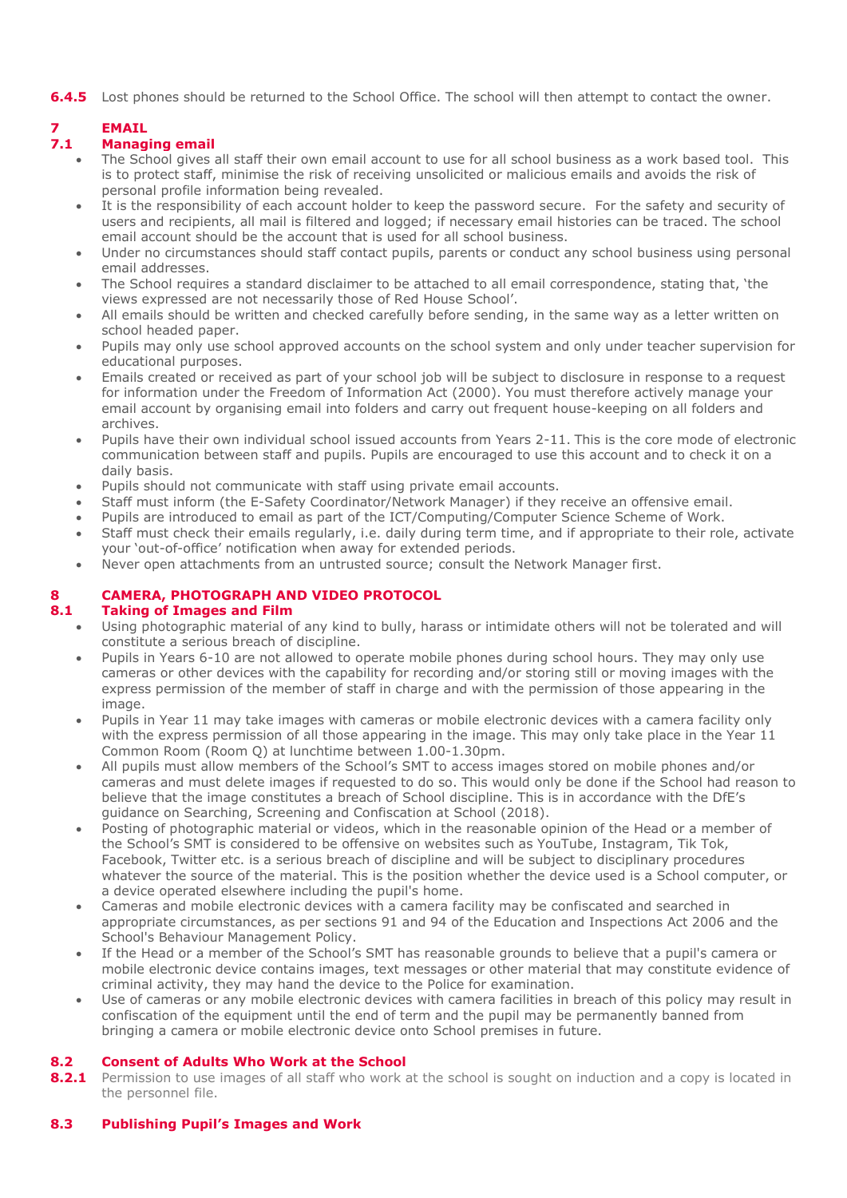**6.4.5** Lost phones should be returned to the School Office. The school will then attempt to contact the owner.

# **7 EMAIL**

# **7.1 Managing email**

- The School gives all staff their own email account to use for all school business as a work based tool. This is to protect staff, minimise the risk of receiving unsolicited or malicious emails and avoids the risk of personal profile information being revealed.
- It is the responsibility of each account holder to keep the password secure. For the safety and security of users and recipients, all mail is filtered and logged; if necessary email histories can be traced. The school email account should be the account that is used for all school business.
- Under no circumstances should staff contact pupils, parents or conduct any school business using personal email addresses.
- The School requires a standard disclaimer to be attached to all email correspondence, stating that, 'the views expressed are not necessarily those of Red House School'.
- All emails should be written and checked carefully before sending, in the same way as a letter written on school headed paper.
- Pupils may only use school approved accounts on the school system and only under teacher supervision for educational purposes.
- Emails created or received as part of your school job will be subject to disclosure in response to a request for information under the Freedom of Information Act (2000). You must therefore actively manage your email account by organising email into folders and carry out frequent house-keeping on all folders and archives.
- Pupils have their own individual school issued accounts from Years 2-11. This is the core mode of electronic communication between staff and pupils. Pupils are encouraged to use this account and to check it on a daily basis.
- Pupils should not communicate with staff using private email accounts.
- Staff must inform (the E-Safety Coordinator/Network Manager) if they receive an offensive email.
- Pupils are introduced to email as part of the ICT/Computing/Computer Science Scheme of Work.
- Staff must check their emails regularly, i.e. daily during term time, and if appropriate to their role, activate your 'out-of-office' notification when away for extended periods.
- Never open attachments from an untrusted source; consult the Network Manager first.

# **8 CAMERA, PHOTOGRAPH AND VIDEO PROTOCOL**

# **8.1 Taking of Images and Film**

- Using photographic material of any kind to bully, harass or intimidate others will not be tolerated and will constitute a serious breach of discipline.
- Pupils in Years 6-10 are not allowed to operate mobile phones during school hours. They may only use cameras or other devices with the capability for recording and/or storing still or moving images with the express permission of the member of staff in charge and with the permission of those appearing in the image.
- Pupils in Year 11 may take images with cameras or mobile electronic devices with a camera facility only with the express permission of all those appearing in the image. This may only take place in the Year 11 Common Room (Room Q) at lunchtime between 1.00-1.30pm.
- All pupils must allow members of the School's SMT to access images stored on mobile phones and/or cameras and must delete images if requested to do so. This would only be done if the School had reason to believe that the image constitutes a breach of School discipline. This is in accordance with the DfE's guidance on Searching, Screening and Confiscation at School (2018).
- Posting of photographic material or videos, which in the reasonable opinion of the Head or a member of the School's SMT is considered to be offensive on websites such as YouTube, Instagram, Tik Tok, Facebook, Twitter etc. is a serious breach of discipline and will be subject to disciplinary procedures whatever the source of the material. This is the position whether the device used is a School computer, or a device operated elsewhere including the pupil's home.
- Cameras and mobile electronic devices with a camera facility may be confiscated and searched in appropriate circumstances, as per sections 91 and 94 of the Education and Inspections Act 2006 and the School's Behaviour Management Policy.
- If the Head or a member of the School's SMT has reasonable grounds to believe that a pupil's camera or mobile electronic device contains images, text messages or other material that may constitute evidence of criminal activity, they may hand the device to the Police for examination.
- Use of cameras or any mobile electronic devices with camera facilities in breach of this policy may result in confiscation of the equipment until the end of term and the pupil may be permanently banned from bringing a camera or mobile electronic device onto School premises in future.

# **8.2 Consent of Adults Who Work at the School**

**8.2.1** Permission to use images of all staff who work at the school is sought on induction and a copy is located in the personnel file.

# **8.3 Publishing Pupil's Images and Work**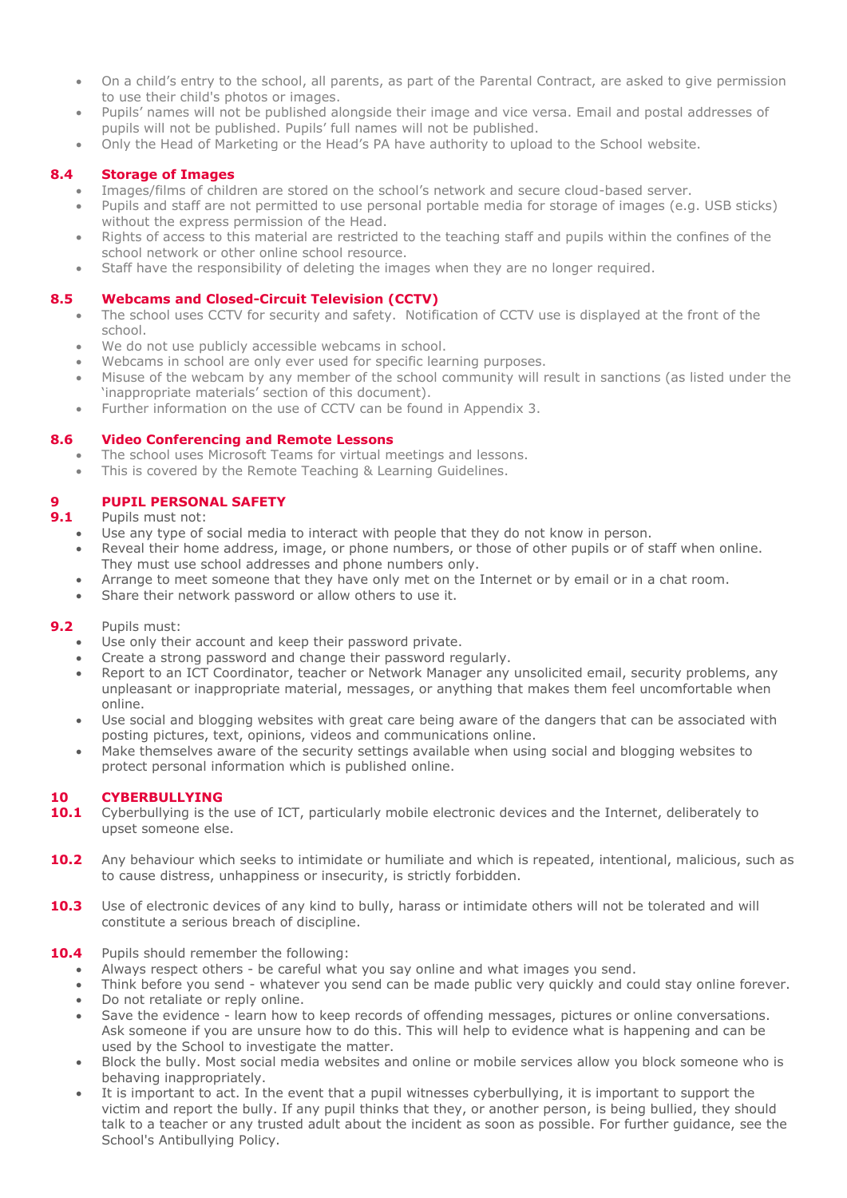- On a child's entry to the school, all parents, as part of the Parental Contract, are asked to give permission to use their child's photos or images.
- Pupils' names will not be published alongside their image and vice versa. Email and postal addresses of pupils will not be published. Pupils' full names will not be published.
- Only the Head of Marketing or the Head's PA have authority to upload to the School website.

## **8.4 Storage of Images**

- Images/films of children are stored on the school's network and secure cloud-based server.
- Pupils and staff are not permitted to use personal portable media for storage of images (e.g. USB sticks) without the express permission of the Head.
- Rights of access to this material are restricted to the teaching staff and pupils within the confines of the school network or other online school resource.
- Staff have the responsibility of deleting the images when they are no longer required.

#### **8.5 Webcams and Closed-Circuit Television (CCTV)**

- The school uses CCTV for security and safety. Notification of CCTV use is displayed at the front of the school.
- We do not use publicly accessible webcams in school.
- Webcams in school are only ever used for specific learning purposes.
- Misuse of the webcam by any member of the school community will result in sanctions (as listed under the 'inappropriate materials' section of this document).
- Further information on the use of CCTV can be found in Appendix 3.

#### **8.6 Video Conferencing and Remote Lessons**

- The school uses Microsoft Teams for virtual meetings and lessons.
- This is covered by the Remote Teaching & Learning Guidelines.

# **9 PUPIL PERSONAL SAFETY**

**9.1** Pupils must not:

- Use any type of social media to interact with people that they do not know in person.
- Reveal their home address, image, or phone numbers, or those of other pupils or of staff when online. They must use school addresses and phone numbers only.
- Arrange to meet someone that they have only met on the Internet or by email or in a chat room.
- Share their network password or allow others to use it.

#### **9.2** Pupils must:

- Use only their account and keep their password private.
- Create a strong password and change their password regularly.
- Report to an ICT Coordinator, teacher or Network Manager any unsolicited email, security problems, any unpleasant or inappropriate material, messages, or anything that makes them feel uncomfortable when online.
- Use social and blogging websites with great care being aware of the dangers that can be associated with posting pictures, text, opinions, videos and communications online.
- Make themselves aware of the security settings available when using social and blogging websites to protect personal information which is published online.

#### **10 CYBERBULLYING**

- 10.1 Cyberbullying is the use of ICT, particularly mobile electronic devices and the Internet, deliberately to upset someone else.
- **10.2** Any behaviour which seeks to intimidate or humiliate and which is repeated, intentional, malicious, such as to cause distress, unhappiness or insecurity, is strictly forbidden.
- 10.3 Use of electronic devices of any kind to bully, harass or intimidate others will not be tolerated and will constitute a serious breach of discipline.

#### **10.4** Pupils should remember the following:

- Always respect others be careful what you say online and what images you send.
- Think before you send whatever you send can be made public very quickly and could stay online forever. Do not retaliate or reply online.
- Save the evidence learn how to keep records of offending messages, pictures or online conversations. Ask someone if you are unsure how to do this. This will help to evidence what is happening and can be used by the School to investigate the matter.
- Block the bully. Most social media websites and online or mobile services allow you block someone who is behaving inappropriately.
- It is important to act. In the event that a pupil witnesses cyberbullying, it is important to support the victim and report the bully. If any pupil thinks that they, or another person, is being bullied, they should talk to a teacher or any trusted adult about the incident as soon as possible. For further guidance, see the School's Antibullying Policy.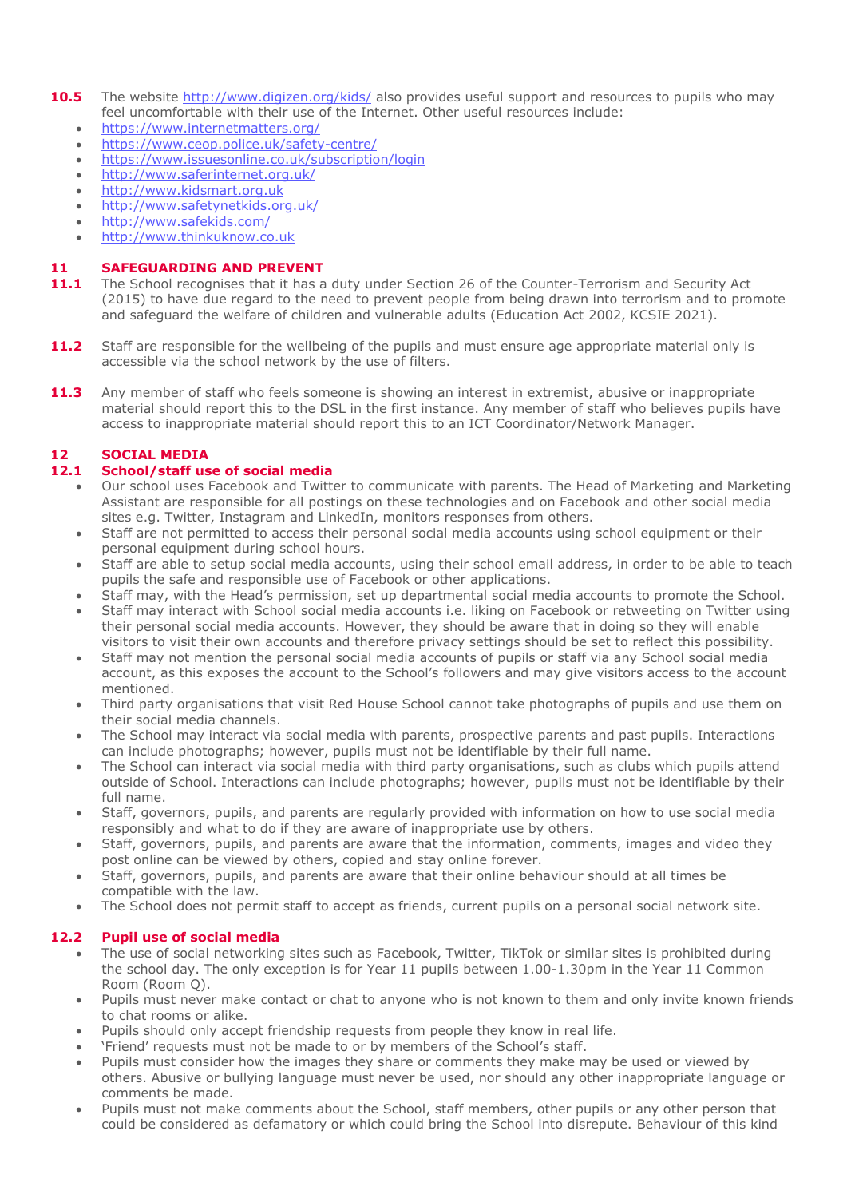- **10.5** The website<http://www.digizen.org/kids/> also provides useful support and resources to pupils who may feel uncomfortable with their use of the Internet. Other useful resources include:
	- <https://www.internetmatters.org/>
	- <https://www.ceop.police.uk/safety-centre/>
	- <https://www.issuesonline.co.uk/subscription/login>
	- <http://www.saferinternet.org.uk/>
	- [http://www.kidsmart.org.uk](http://www.kidsmart.org.uk/)
	- <http://www.safetynetkids.org.uk/>
	- <http://www.safekids.com/>
	- [http://www.thinkuknow.co.uk](http://www.thinkuknow.co.uk/)

## **11 SAFEGUARDING AND PREVENT**

- 11.1 The School recognises that it has a duty under Section 26 of the Counter-Terrorism and Security Act (2015) to have due regard to the need to prevent people from being drawn into terrorism and to promote and safeguard the welfare of children and vulnerable adults (Education Act 2002, KCSIE 2021).
- **11.2** Staff are responsible for the wellbeing of the pupils and must ensure age appropriate material only is accessible via the school network by the use of filters.
- **11.3** Any member of staff who feels someone is showing an interest in extremist, abusive or inappropriate material should report this to the DSL in the first instance. Any member of staff who believes pupils have access to inappropriate material should report this to an ICT Coordinator/Network Manager.

# **12 SOCIAL MEDIA**

## **12.1 School/staff use of social media**

- Our school uses Facebook and Twitter to communicate with parents. The Head of Marketing and Marketing Assistant are responsible for all postings on these technologies and on Facebook and other social media sites e.g. Twitter, Instagram and LinkedIn, monitors responses from others.
- Staff are not permitted to access their personal social media accounts using school equipment or their personal equipment during school hours.
- Staff are able to setup social media accounts, using their school email address, in order to be able to teach pupils the safe and responsible use of Facebook or other applications.
- Staff may, with the Head's permission, set up departmental social media accounts to promote the School.
- Staff may interact with School social media accounts i.e. liking on Facebook or retweeting on Twitter using their personal social media accounts. However, they should be aware that in doing so they will enable visitors to visit their own accounts and therefore privacy settings should be set to reflect this possibility.
- Staff may not mention the personal social media accounts of pupils or staff via any School social media account, as this exposes the account to the School's followers and may give visitors access to the account mentioned.
- Third party organisations that visit Red House School cannot take photographs of pupils and use them on their social media channels.
- The School may interact via social media with parents, prospective parents and past pupils. Interactions can include photographs; however, pupils must not be identifiable by their full name.
- The School can interact via social media with third party organisations, such as clubs which pupils attend outside of School. Interactions can include photographs; however, pupils must not be identifiable by their full name.
- Staff, governors, pupils, and parents are regularly provided with information on how to use social media responsibly and what to do if they are aware of inappropriate use by others.
- Staff, governors, pupils, and parents are aware that the information, comments, images and video they post online can be viewed by others, copied and stay online forever.
- Staff, governors, pupils, and parents are aware that their online behaviour should at all times be compatible with the law.
- The School does not permit staff to accept as friends, current pupils on a personal social network site.

# **12.2 Pupil use of social media**

- The use of social networking sites such as Facebook, Twitter, TikTok or similar sites is prohibited during the school day. The only exception is for Year 11 pupils between 1.00-1.30pm in the Year 11 Common Room (Room Q).
- Pupils must never make contact or chat to anyone who is not known to them and only invite known friends to chat rooms or alike.
- Pupils should only accept friendship requests from people they know in real life.
- 'Friend' requests must not be made to or by members of the School's staff.
- Pupils must consider how the images they share or comments they make may be used or viewed by others. Abusive or bullying language must never be used, nor should any other inappropriate language or comments be made.
- Pupils must not make comments about the School, staff members, other pupils or any other person that could be considered as defamatory or which could bring the School into disrepute. Behaviour of this kind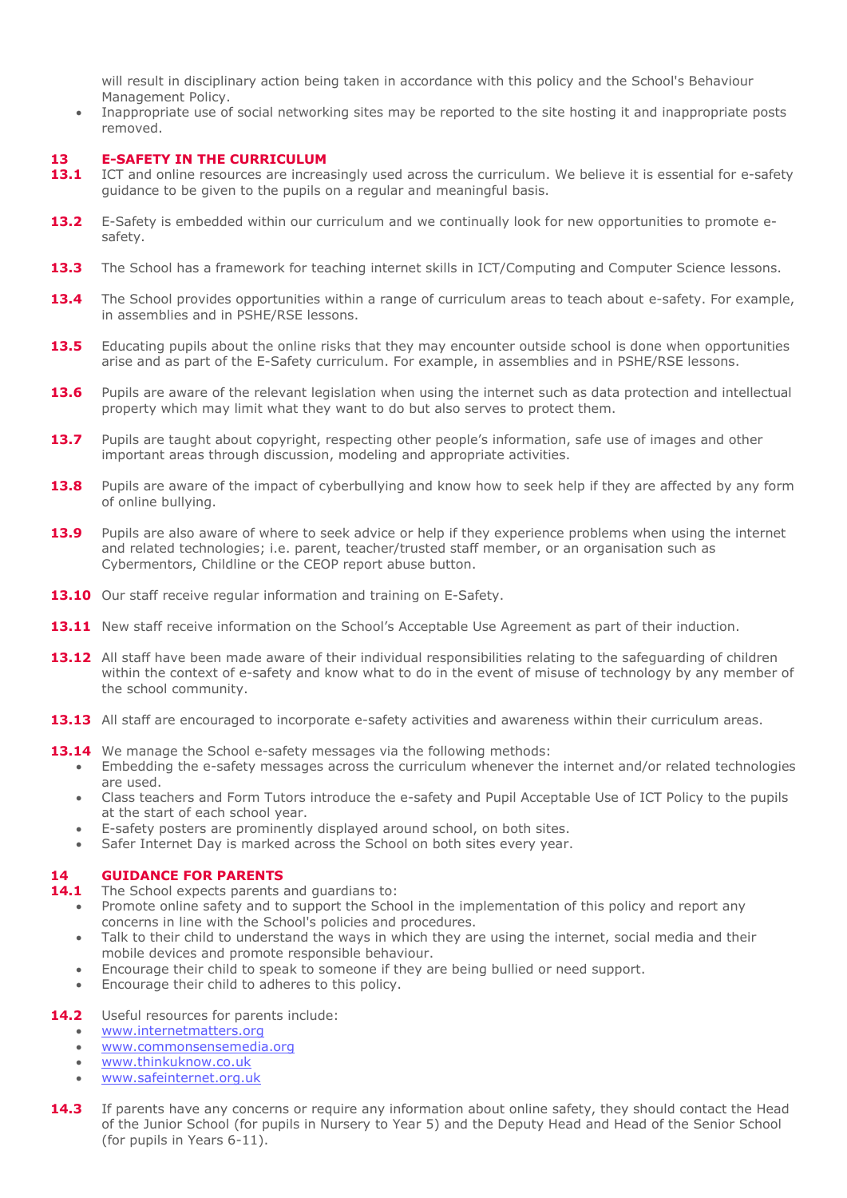will result in disciplinary action being taken in accordance with this policy and the School's Behaviour Management Policy.

 Inappropriate use of social networking sites may be reported to the site hosting it and inappropriate posts removed.

#### **13 E-SAFETY IN THE CURRICULUM**

- 13.1 ICT and online resources are increasingly used across the curriculum. We believe it is essential for e-safety guidance to be given to the pupils on a regular and meaningful basis.
- **13.2** E-Safety is embedded within our curriculum and we continually look for new opportunities to promote esafety.
- **13.3** The School has a framework for teaching internet skills in ICT/Computing and Computer Science lessons.
- **13.4** The School provides opportunities within a range of curriculum areas to teach about e-safety. For example, in assemblies and in PSHE/RSE lessons.
- **13.5** Educating pupils about the online risks that they may encounter outside school is done when opportunities arise and as part of the E-Safety curriculum. For example, in assemblies and in PSHE/RSE lessons.
- **13.6** Pupils are aware of the relevant legislation when using the internet such as data protection and intellectual property which may limit what they want to do but also serves to protect them.
- **13.7** Pupils are taught about copyright, respecting other people's information, safe use of images and other important areas through discussion, modeling and appropriate activities.
- **13.8** Pupils are aware of the impact of cyberbullying and know how to seek help if they are affected by any form of online bullying.
- **13.9** Pupils are also aware of where to seek advice or help if they experience problems when using the internet and related technologies; i.e. parent, teacher/trusted staff member, or an organisation such as Cybermentors, Childline or the CEOP report abuse button.
- **13.10** Our staff receive regular information and training on E-Safety.
- **13.11** New staff receive information on the School's Acceptable Use Agreement as part of their induction.
- **13.12** All staff have been made aware of their individual responsibilities relating to the safeguarding of children within the context of e-safety and know what to do in the event of misuse of technology by any member of the school community.
- **13.13** All staff are encouraged to incorporate e-safety activities and awareness within their curriculum areas.
- **13.14** We manage the School e-safety messages via the following methods:
	- Embedding the e-safety messages across the curriculum whenever the internet and/or related technologies are used.
	- Class teachers and Form Tutors introduce the e-safety and Pupil Acceptable Use of ICT Policy to the pupils at the start of each school year.
	- E-safety posters are prominently displayed around school, on both sites.
	- Safer Internet Day is marked across the School on both sites every year.

#### **14 GUIDANCE FOR PARENTS**

- **14.1** The School expects parents and quardians to:
	- Promote online safety and to support the School in the implementation of this policy and report any concerns in line with the School's policies and procedures.
	- Talk to their child to understand the ways in which they are using the internet, social media and their mobile devices and promote responsible behaviour.
	- Encourage their child to speak to someone if they are being bullied or need support.
	- Encourage their child to adheres to this policy.

#### **14.2** Useful resources for parents include:

- [www.internetmatters.org](http://www.internetmatters.org/)
- [www.commonsensemedia.org](http://www.commonsensemedia.org/)
- [www.thinkuknow.co.uk](http://www.thinkuknow.co.uk/)
- [www.safeinternet.org.uk](http://www.safeinternet.org.uk/)
- **14.3** If parents have any concerns or require any information about online safety, they should contact the Head of the Junior School (for pupils in Nursery to Year 5) and the Deputy Head and Head of the Senior School (for pupils in Years 6-11).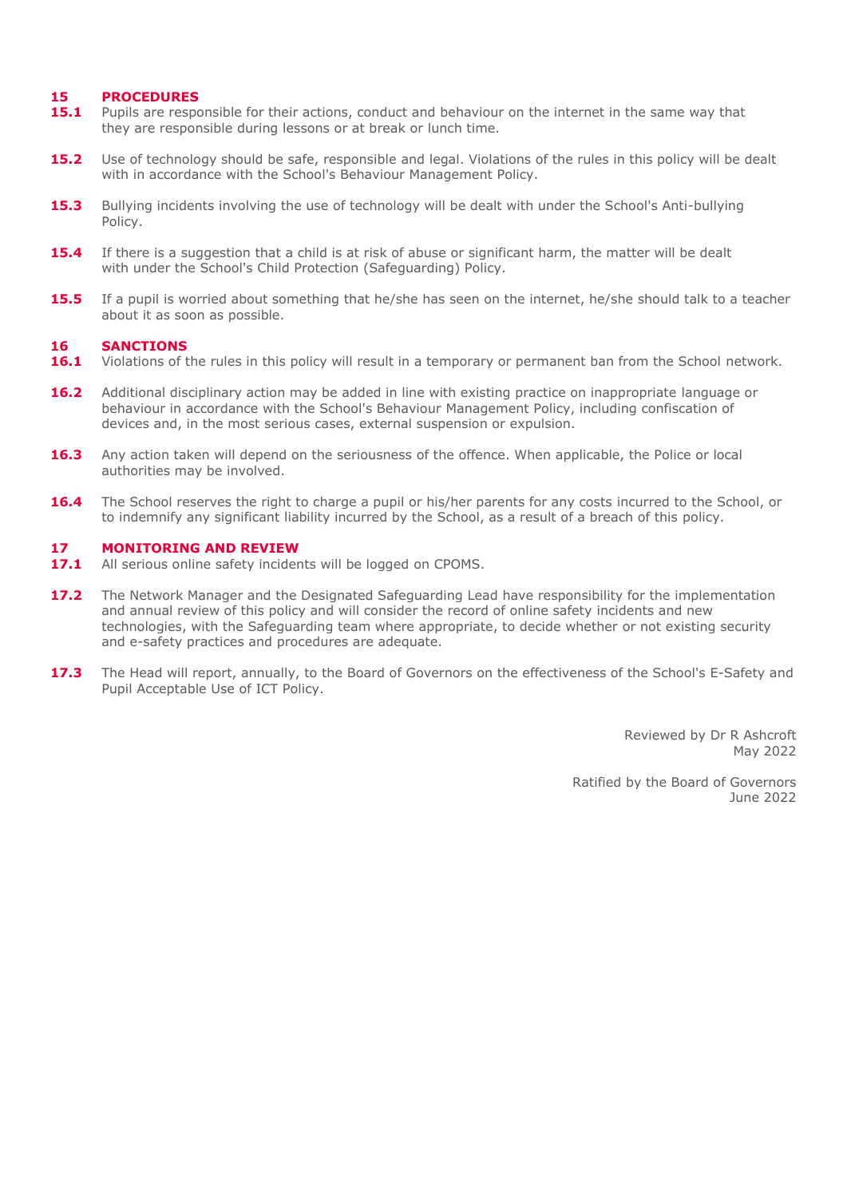#### **15 PROCEDURES**

- **15.1** Pupils are responsible for their actions, conduct and behaviour on the internet in the same way that they are responsible during lessons or at break or lunch time.
- **15.2** Use of technology should be safe, responsible and legal. Violations of the rules in this policy will be dealt with in accordance with the School's Behaviour Management Policy.
- **15.3** Bullying incidents involving the use of technology will be dealt with under the School's Anti-bullying Policy.
- **15.4** If there is a suggestion that a child is at risk of abuse or significant harm, the matter will be dealt with under the School's Child Protection (Safeguarding) Policy.
- **15.5** If a pupil is worried about something that he/she has seen on the internet, he/she should talk to a teacher about it as soon as possible.

#### **16 SANCTIONS**

- 16.1 Violations of the rules in this policy will result in a temporary or permanent ban from the School network.
- 16.2 Additional disciplinary action may be added in line with existing practice on inappropriate language or behaviour in accordance with the School's Behaviour Management Policy, including confiscation of devices and, in the most serious cases, external suspension or expulsion.
- **16.3** Any action taken will depend on the seriousness of the offence. When applicable, the Police or local authorities may be involved.
- **16.4** The School reserves the right to charge a pupil or his/her parents for any costs incurred to the School, or to indemnify any significant liability incurred by the School, as a result of a breach of this policy.

#### **17 MONITORING AND REVIEW**

- 17.1 All serious online safety incidents will be logged on CPOMS.
- **17.2** The Network Manager and the Designated Safeguarding Lead have responsibility for the implementation and annual review of this policy and will consider the record of online safety incidents and new technologies, with the Safeguarding team where appropriate, to decide whether or not existing security and e-safety practices and procedures are adequate.
- **17.3** The Head will report, annually, to the Board of Governors on the effectiveness of the School's E-Safety and Pupil Acceptable Use of ICT Policy.

Reviewed by Dr R Ashcroft May 2022

Ratified by the Board of Governors June 2022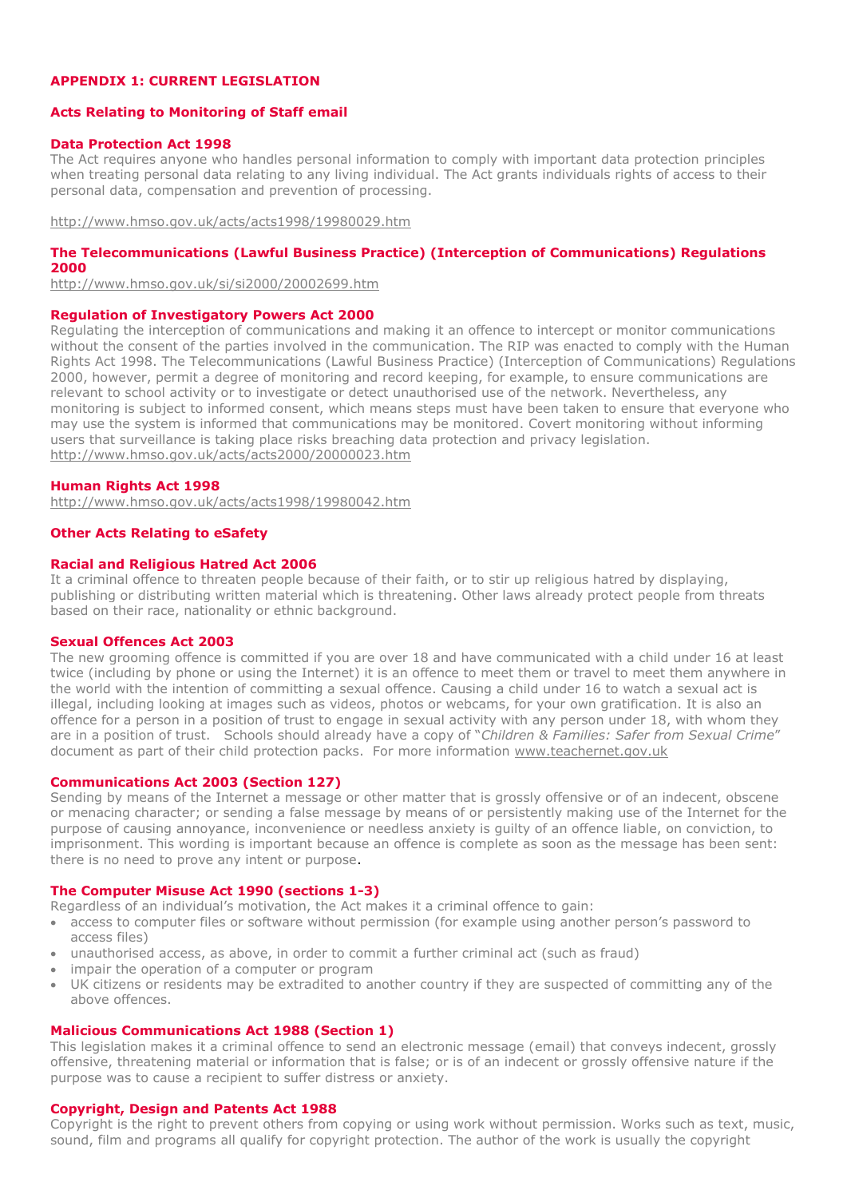#### **APPENDIX 1: CURRENT LEGISLATION**

#### **Acts Relating to Monitoring of Staff email**

#### **Data Protection Act 1998**

The Act requires anyone who handles personal information to comply with important data protection principles when treating personal data relating to any living individual. The Act grants individuals rights of access to their personal data, compensation and prevention of processing.

<http://www.hmso.gov.uk/acts/acts1998/19980029.htm>

## **The Telecommunications (Lawful Business Practice) (Interception of Communications) Regulations 2000**

<http://www.hmso.gov.uk/si/si2000/20002699.htm>

#### **Regulation of Investigatory Powers Act 2000**

Regulating the interception of communications and making it an offence to intercept or monitor communications without the consent of the parties involved in the communication. The RIP was enacted to comply with the Human Rights Act 1998. The Telecommunications (Lawful Business Practice) (Interception of Communications) Regulations 2000, however, permit a degree of monitoring and record keeping, for example, to ensure communications are relevant to school activity or to investigate or detect unauthorised use of the network. Nevertheless, any monitoring is subject to informed consent, which means steps must have been taken to ensure that everyone who may use the system is informed that communications may be monitored. Covert monitoring without informing users that surveillance is taking place risks breaching data protection and privacy legislation. <http://www.hmso.gov.uk/acts/acts2000/20000023.htm>

#### **Human Rights Act 1998**

<http://www.hmso.gov.uk/acts/acts1998/19980042.htm>

#### **Other Acts Relating to eSafety**

#### **Racial and Religious Hatred Act 2006**

It a criminal offence to threaten people because of their faith, or to stir up religious hatred by displaying, publishing or distributing written material which is threatening. Other laws already protect people from threats based on their race, nationality or ethnic background.

#### **Sexual Offences Act 2003**

The new grooming offence is committed if you are over 18 and have communicated with a child under 16 at least twice (including by phone or using the Internet) it is an offence to meet them or travel to meet them anywhere in the world with the intention of committing a sexual offence. Causing a child under 16 to watch a sexual act is illegal, including looking at images such as videos, photos or webcams, for your own gratification. It is also an offence for a person in a position of trust to engage in sexual activity with any person under 18, with whom they are in a position of trust. Schools should already have a copy of "*Children & Families: Safer from Sexual Crime*" document as part of their child protection packs. For more information [www.teachernet.gov.uk](http://www.teachernet.gov.uk/)

#### **Communications Act 2003 (Section 127)**

Sending by means of the Internet a message or other matter that is grossly offensive or of an indecent, obscene or menacing character; or sending a false message by means of or persistently making use of the Internet for the purpose of causing annoyance, inconvenience or needless anxiety is guilty of an offence liable, on conviction, to imprisonment. This wording is important because an offence is complete as soon as the message has been sent: there is no need to prove any intent or purpose.

#### **The Computer Misuse Act 1990 (sections 1-3)**

Regardless of an individual's motivation, the Act makes it a criminal offence to gain:

- access to computer files or software without permission (for example using another person's password to access files)
- unauthorised access, as above, in order to commit a further criminal act (such as fraud)
- impair the operation of a computer or program
- UK citizens or residents may be extradited to another country if they are suspected of committing any of the above offences.

#### **Malicious Communications Act 1988 (Section 1)**

This legislation makes it a criminal offence to send an electronic message (email) that conveys indecent, grossly offensive, threatening material or information that is false; or is of an indecent or grossly offensive nature if the purpose was to cause a recipient to suffer distress or anxiety.

#### **Copyright, Design and Patents Act 1988**

Copyright is the right to prevent others from copying or using work without permission. Works such as text, music, sound, film and programs all qualify for copyright protection. The author of the work is usually the copyright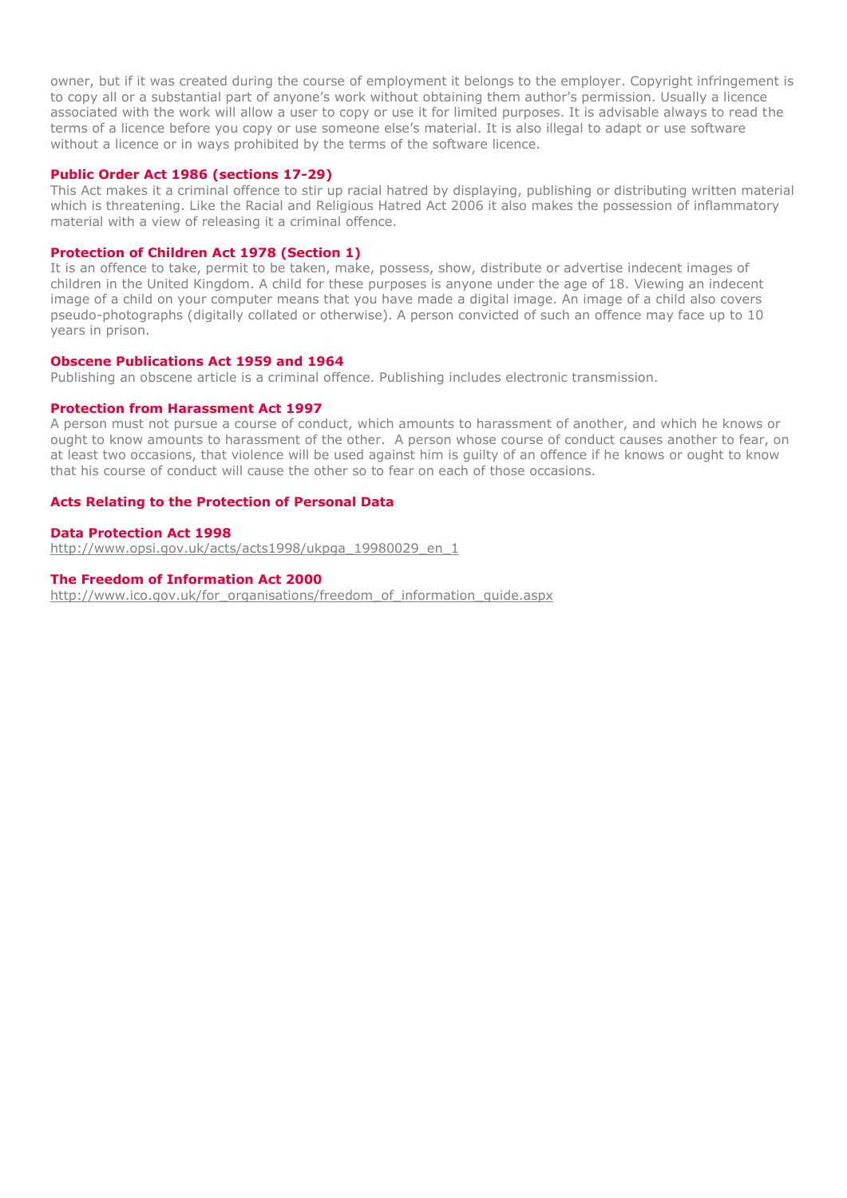owner, but if it was created during the course of employment it belongs to the employer. Copyright infringement is to copy all or a substantial part of anyone's work without obtaining them author's permission. Usually a licence associated with the work will allow a user to copy or use it for limited purposes. It is advisable always to read the terms of a licence before you copy or use someone else's material. It is also illegal to adapt or use software without a licence or in ways prohibited by the terms of the software licence.

#### **Public Order Act 1986 (sections 17-29)**

This Act makes it a criminal offence to stir up racial hatred by displaying, publishing or distributing written material which is threatening. Like the Racial and Religious Hatred Act 2006 it also makes the possession of inflammatory material with a view of releasing it a criminal offence.

#### **Protection of Children Act 1978 (Section 1)**

It is an offence to take, permit to be taken, make, possess, show, distribute or advertise indecent images of children in the United Kingdom. A child for these purposes is anyone under the age of 18. Viewing an indecent image of a child on your computer means that you have made a digital image. An image of a child also covers pseudo-photographs (digitally collated or otherwise). A person convicted of such an offence may face up to 10 years in prison.

#### **Obscene Publications Act 1959 and 1964**

Publishing an obscene article is a criminal offence. Publishing includes electronic transmission.

#### **Protection from Harassment Act 1997**

A person must not pursue a course of conduct, which amounts to harassment of another, and which he knows or ought to know amounts to harassment of the other. A person whose course of conduct causes another to fear, on at least two occasions, that violence will be used against him is guilty of an offence if he knows or ought to know that his course of conduct will cause the other so to fear on each of those occasions.

#### **Acts Relating to the Protection of Personal Data**

#### **Data Protection Act 1998**

[http://www.opsi.gov.uk/acts/acts1998/ukpga\\_19980029\\_en\\_1](http://www.opsi.gov.uk/acts/acts1998/ukpga_19980029_en_1)

#### **The Freedom of Information Act 2000**

[http://www.ico.gov.uk/for\\_organisations/freedom\\_of\\_information\\_guide.aspx](http://www.ico.gov.uk/for_organisations/freedom_of_information_guide.aspx)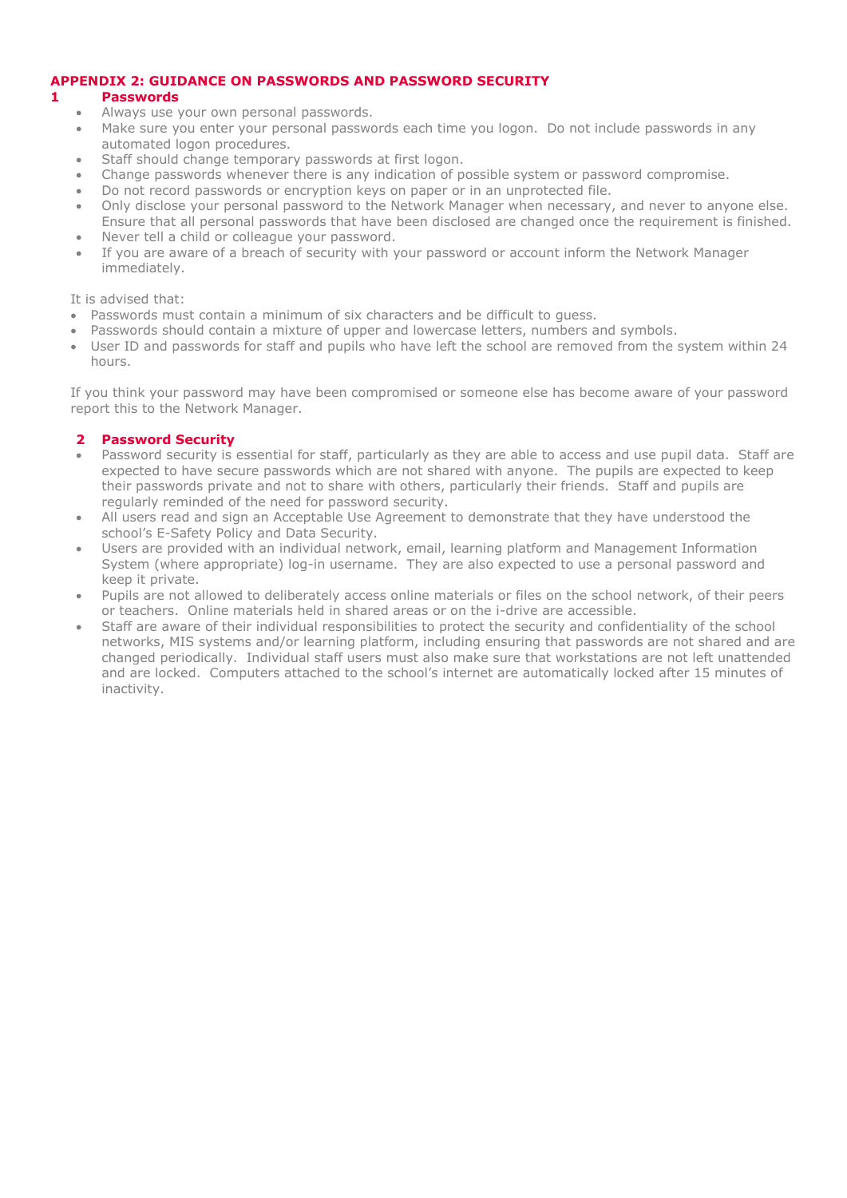# **APPENDIX 2: GUIDANCE ON PASSWORDS AND PASSWORD SECURITY**

# **1 Passwords**

- Always use your own personal passwords.
- Make sure you enter your personal passwords each time you logon. Do not include passwords in any automated logon procedures.
- Staff should change temporary passwords at first logon.
- Change passwords whenever there is any indication of possible system or password compromise.
- Do not record passwords or encryption keys on paper or in an unprotected file.
- Only disclose your personal password to the Network Manager when necessary, and never to anyone else. Ensure that all personal passwords that have been disclosed are changed once the requirement is finished.
- Never tell a child or colleague your password.
- If you are aware of a breach of security with your password or account inform the Network Manager immediately.

## It is advised that:

- Passwords must contain a minimum of six characters and be difficult to quess.
- Passwords should contain a mixture of upper and lowercase letters, numbers and symbols.
- User ID and passwords for staff and pupils who have left the school are removed from the system within 24 hours.

If you think your password may have been compromised or someone else has become aware of your password report this to the Network Manager.

# **2 Password Security**

- Password security is essential for staff, particularly as they are able to access and use pupil data. Staff are expected to have secure passwords which are not shared with anyone. The pupils are expected to keep their passwords private and not to share with others, particularly their friends. Staff and pupils are regularly reminded of the need for password security.
- All users read and sign an Acceptable Use Agreement to demonstrate that they have understood the school's E-Safety Policy and Data Security.
- Users are provided with an individual network, email, learning platform and Management Information System (where appropriate) log-in username. They are also expected to use a personal password and keep it private.
- Pupils are not allowed to deliberately access online materials or files on the school network, of their peers or teachers. Online materials held in shared areas or on the i-drive are accessible.
- Staff are aware of their individual responsibilities to protect the security and confidentiality of the school networks, MIS systems and/or learning platform, including ensuring that passwords are not shared and are changed periodically. Individual staff users must also make sure that workstations are not left unattended and are locked. Computers attached to the school's internet are automatically locked after 15 minutes of inactivity.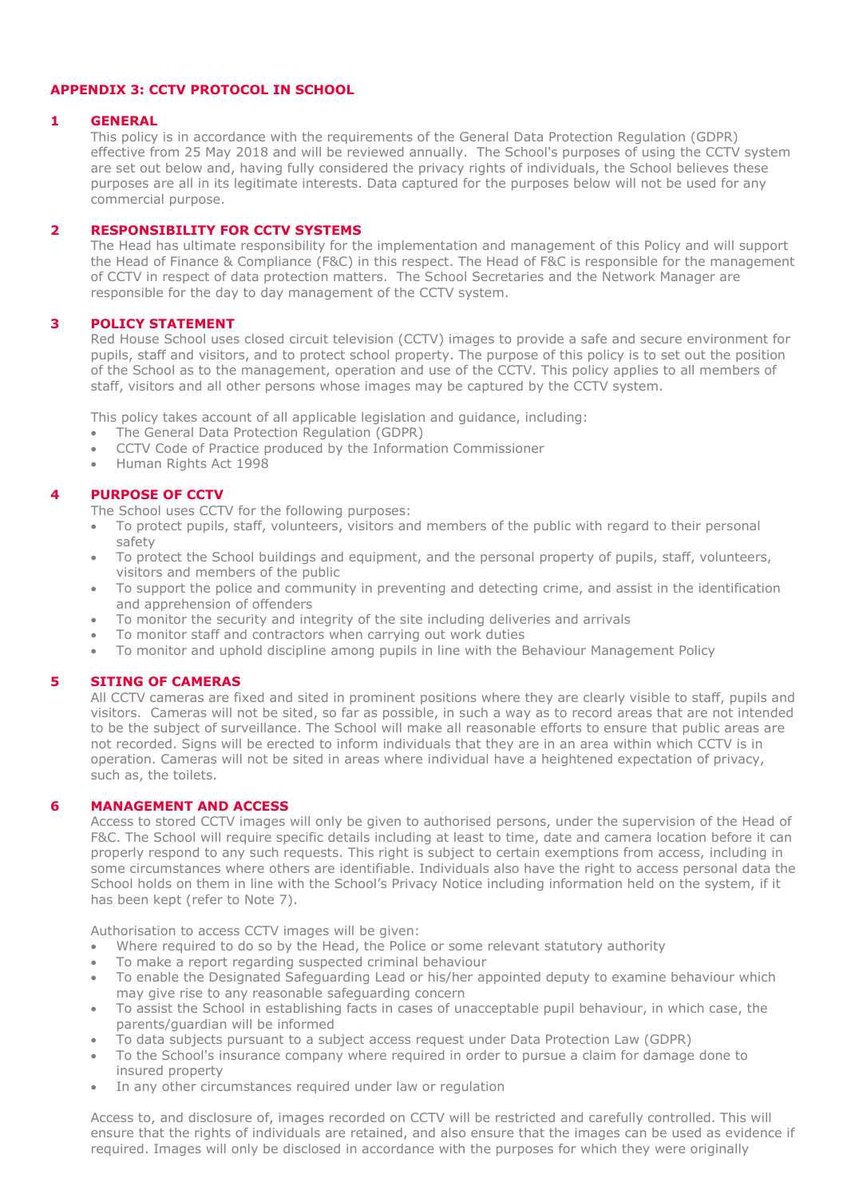# **APPENDIX 3: CCTV PROTOCOL IN SCHOOL**

#### **1 GENERAL**

This policy is in accordance with the requirements of the General Data Protection Regulation (GDPR) effective from 25 May 2018 and will be reviewed annually. The School's purposes of using the CCTV system are set out below and, having fully considered the privacy rights of individuals, the School believes these purposes are all in its legitimate interests. Data captured for the purposes below will not be used for any commercial purpose.

# **2 RESPONSIBILITY FOR CCTV SYSTEMS**

The Head has ultimate responsibility for the implementation and management of this Policy and will support the Head of Finance & Compliance (F&C) in this respect. The Head of F&C is responsible for the management of CCTV in respect of data protection matters. The School Secretaries and the Network Manager are responsible for the day to day management of the CCTV system.

#### **3 POLICY STATEMENT**

Red House School uses closed circuit television (CCTV) images to provide a safe and secure environment for pupils, staff and visitors, and to protect school property. The purpose of this policy is to set out the position of the School as to the management, operation and use of the CCTV. This policy applies to all members of staff, visitors and all other persons whose images may be captured by the CCTV system.

This policy takes account of all applicable legislation and guidance, including:

- The General Data Protection Regulation (GDPR)
- CCTV Code of Practice produced by the Information Commissioner
- Human Rights Act 1998

#### **4 PURPOSE OF CCTV**

The School uses CCTV for the following purposes:

- To protect pupils, staff, volunteers, visitors and members of the public with regard to their personal safety
- To protect the School buildings and equipment, and the personal property of pupils, staff, volunteers, visitors and members of the public
- To support the police and community in preventing and detecting crime, and assist in the identification and apprehension of offenders
- To monitor the security and integrity of the site including deliveries and arrivals
- To monitor staff and contractors when carrying out work duties
- To monitor and uphold discipline among pupils in line with the Behaviour Management Policy

## **5 SITING OF CAMERAS**

All CCTV cameras are fixed and sited in prominent positions where they are clearly visible to staff, pupils and visitors. Cameras will not be sited, so far as possible, in such a way as to record areas that are not intended to be the subject of surveillance. The School will make all reasonable efforts to ensure that public areas are not recorded. Signs will be erected to inform individuals that they are in an area within which CCTV is in operation. Cameras will not be sited in areas where individual have a heightened expectation of privacy, such as, the toilets.

#### **6 MANAGEMENT AND ACCESS**

Access to stored CCTV images will only be given to authorised persons, under the supervision of the Head of F&C. The School will require specific details including at least to time, date and camera location before it can properly respond to any such requests. This right is subject to certain exemptions from access, including in some circumstances where others are identifiable. Individuals also have the right to access personal data the School holds on them in line with the School's Privacy Notice including information held on the system, if it has been kept (refer to Note 7).

Authorisation to access CCTV images will be given:

- Where required to do so by the Head, the Police or some relevant statutory authority
- To make a report regarding suspected criminal behaviour
- To enable the Designated Safeguarding Lead or his/her appointed deputy to examine behaviour which may give rise to any reasonable safeguarding concern
- To assist the School in establishing facts in cases of unacceptable pupil behaviour, in which case, the parents/guardian will be informed
- To data subjects pursuant to a subject access request under Data Protection Law (GDPR)
- To the School's insurance company where required in order to pursue a claim for damage done to insured property
- In any other circumstances required under law or regulation

Access to, and disclosure of, images recorded on CCTV will be restricted and carefully controlled. This will ensure that the rights of individuals are retained, and also ensure that the images can be used as evidence if required. Images will only be disclosed in accordance with the purposes for which they were originally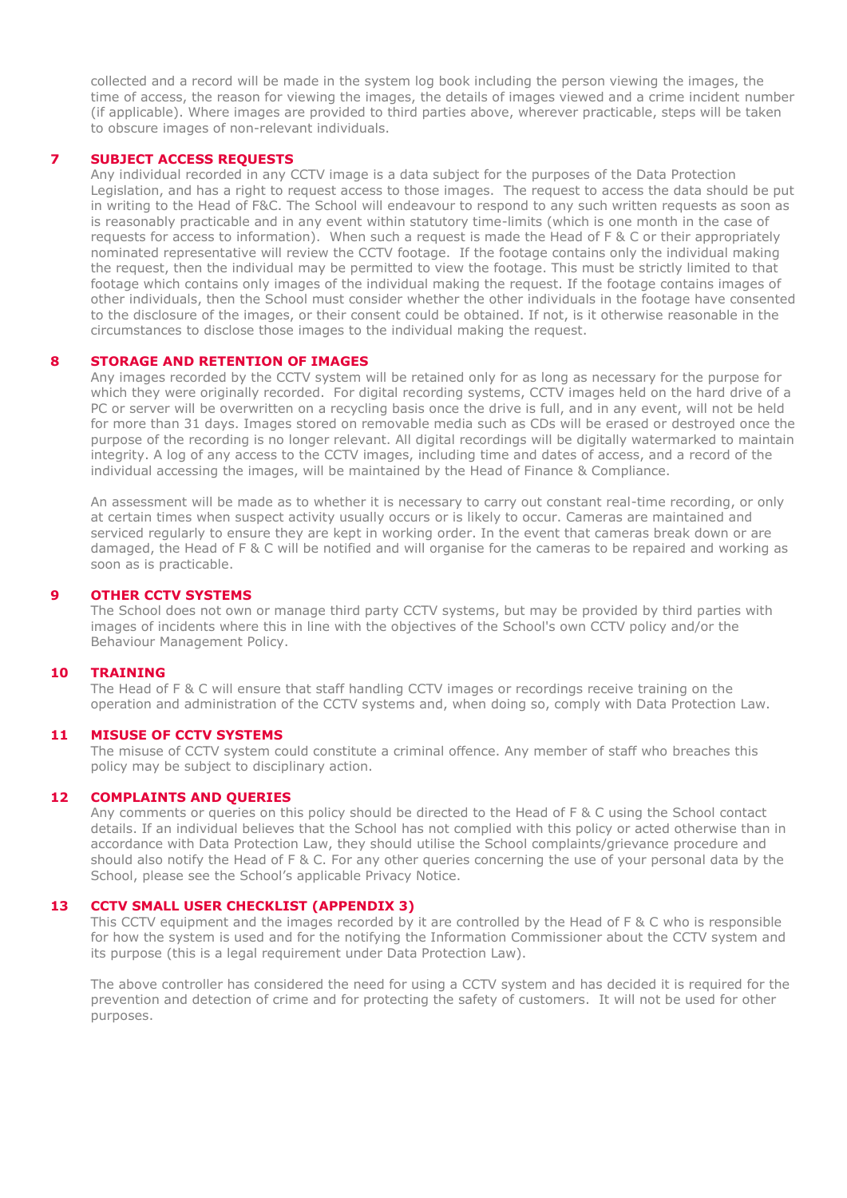collected and a record will be made in the system log book including the person viewing the images, the time of access, the reason for viewing the images, the details of images viewed and a crime incident number (if applicable). Where images are provided to third parties above, wherever practicable, steps will be taken to obscure images of non-relevant individuals.

#### **7 SUBJECT ACCESS REQUESTS**

Any individual recorded in any CCTV image is a data subject for the purposes of the Data Protection Legislation, and has a right to request access to those images. The request to access the data should be put in writing to the Head of F&C. The School will endeavour to respond to any such written requests as soon as is reasonably practicable and in any event within statutory time-limits (which is one month in the case of requests for access to information). When such a request is made the Head of F & C or their appropriately nominated representative will review the CCTV footage. If the footage contains only the individual making the request, then the individual may be permitted to view the footage. This must be strictly limited to that footage which contains only images of the individual making the request. If the footage contains images of other individuals, then the School must consider whether the other individuals in the footage have consented to the disclosure of the images, or their consent could be obtained. If not, is it otherwise reasonable in the circumstances to disclose those images to the individual making the request.

#### **8 STORAGE AND RETENTION OF IMAGES**

Any images recorded by the CCTV system will be retained only for as long as necessary for the purpose for which they were originally recorded. For digital recording systems, CCTV images held on the hard drive of a PC or server will be overwritten on a recycling basis once the drive is full, and in any event, will not be held for more than 31 days. Images stored on removable media such as CDs will be erased or destroyed once the purpose of the recording is no longer relevant. All digital recordings will be digitally watermarked to maintain integrity. A log of any access to the CCTV images, including time and dates of access, and a record of the individual accessing the images, will be maintained by the Head of Finance & Compliance.

An assessment will be made as to whether it is necessary to carry out constant real-time recording, or only at certain times when suspect activity usually occurs or is likely to occur. Cameras are maintained and serviced regularly to ensure they are kept in working order. In the event that cameras break down or are damaged, the Head of F & C will be notified and will organise for the cameras to be repaired and working as soon as is practicable.

#### **9 OTHER CCTV SYSTEMS**

The School does not own or manage third party CCTV systems, but may be provided by third parties with images of incidents where this in line with the objectives of the School's own CCTV policy and/or the Behaviour Management Policy.

#### **10 TRAINING**

The Head of F & C will ensure that staff handling CCTV images or recordings receive training on the operation and administration of the CCTV systems and, when doing so, comply with Data Protection Law.

#### **11 MISUSE OF CCTV SYSTEMS**

The misuse of CCTV system could constitute a criminal offence. Any member of staff who breaches this policy may be subject to disciplinary action.

#### **12 COMPLAINTS AND QUERIES**

Any comments or queries on this policy should be directed to the Head of F & C using the School contact details. If an individual believes that the School has not complied with this policy or acted otherwise than in accordance with Data Protection Law, they should utilise the School complaints/grievance procedure and should also notify the Head of F & C. For any other queries concerning the use of your personal data by the School, please see the School's applicable Privacy Notice.

#### **13 CCTV SMALL USER CHECKLIST (APPENDIX 3)**

This CCTV equipment and the images recorded by it are controlled by the Head of F & C who is responsible for how the system is used and for the notifying the Information Commissioner about the CCTV system and its purpose (this is a legal requirement under Data Protection Law).

The above controller has considered the need for using a CCTV system and has decided it is required for the prevention and detection of crime and for protecting the safety of customers. It will not be used for other purposes.